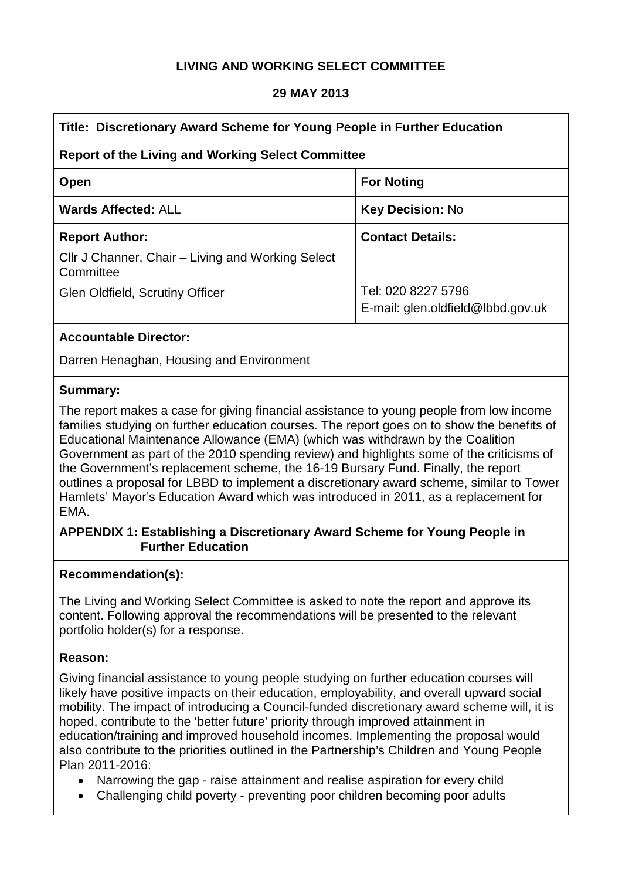## **LIVING AND WORKING SELECT COMMITTEE**

#### **29 MAY 2013**

| Title: Discretionary Award Scheme for Young People in Further Education |                                                         |  |
|-------------------------------------------------------------------------|---------------------------------------------------------|--|
| <b>Report of the Living and Working Select Committee</b>                |                                                         |  |
| Open                                                                    | <b>For Noting</b>                                       |  |
| <b>Wards Affected: ALL</b>                                              | <b>Key Decision: No</b>                                 |  |
| <b>Report Author:</b>                                                   | <b>Contact Details:</b>                                 |  |
| Cllr J Channer, Chair – Living and Working Select<br>Committee          |                                                         |  |
| Glen Oldfield, Scrutiny Officer                                         | Tel: 020 8227 5796<br>E-mail: glen.oldfield@lbbd.gov.uk |  |

#### **Accountable Director:**

Darren Henaghan, Housing and Environment

#### **Summary:**

The report makes a case for giving financial assistance to young people from low income families studying on further education courses. The report goes on to show the benefits of Educational Maintenance Allowance (EMA) (which was withdrawn by the Coalition Government as part of the 2010 spending review) and highlights some of the criticisms of the Government's replacement scheme, the 16-19 Bursary Fund. Finally, the report outlines a proposal for LBBD to implement a discretionary award scheme, similar to Tower Hamlets' Mayor's Education Award which was introduced in 2011, as a replacement for EMA.

#### **APPENDIX 1: Establishing a Discretionary Award Scheme for Young People in Further Education**

#### **Recommendation(s):**

The Living and Working Select Committee is asked to note the report and approve its content. Following approval the recommendations will be presented to the relevant portfolio holder(s) for a response.

#### **Reason:**

Giving financial assistance to young people studying on further education courses will likely have positive impacts on their education, employability, and overall upward social mobility. The impact of introducing a Council-funded discretionary award scheme will, it is hoped, contribute to the 'better future' priority through improved attainment in education/training and improved household incomes. Implementing the proposal would also contribute to the priorities outlined in the Partnership's Children and Young People Plan 2011-2016:

- Narrowing the gap raise attainment and realise aspiration for every child
- Challenging child poverty preventing poor children becoming poor adults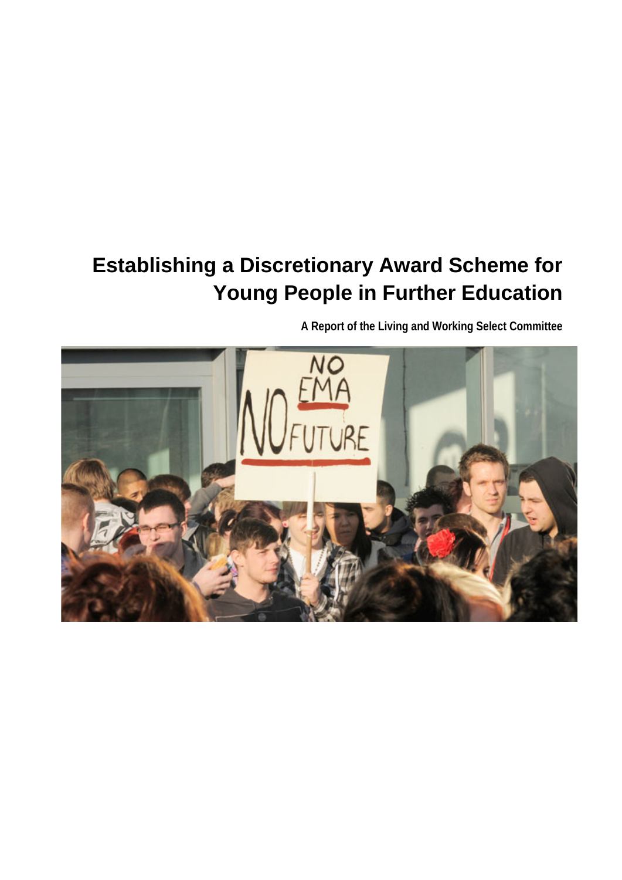# **Establishing a Discretionary Award Scheme for Young People in Further Education**

**A Report of the Living and Working Select Committee**

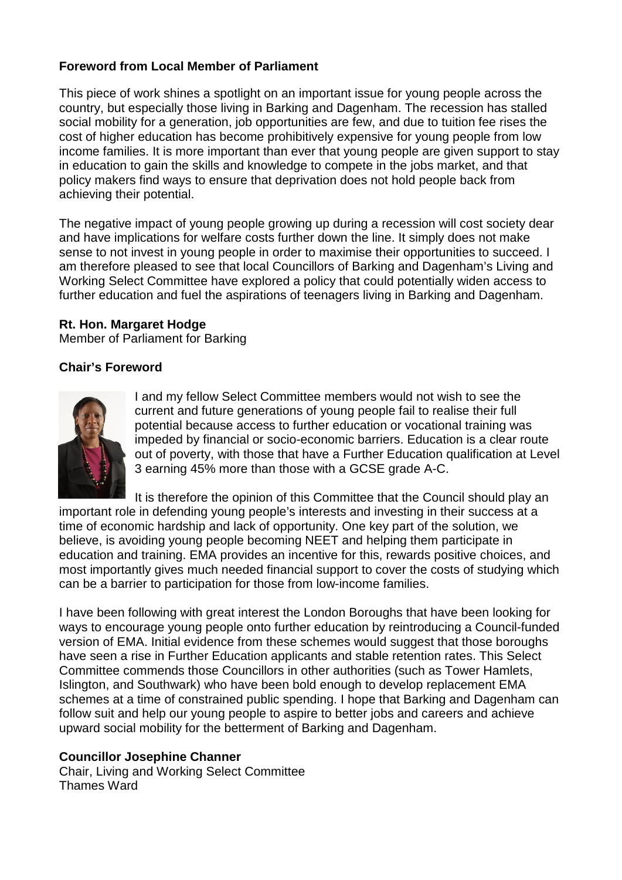#### **Foreword from Local Member of Parliament**

This piece of work shines a spotlight on an important issue for young people across the country, but especially those living in Barking and Dagenham. The recession has stalled social mobility for a generation, job opportunities are few, and due to tuition fee rises the cost of higher education has become prohibitively expensive for young people from low income families. It is more important than ever that young people are given support to stay in education to gain the skills and knowledge to compete in the jobs market, and that policy makers find ways to ensure that deprivation does not hold people back from achieving their potential.

The negative impact of young people growing up during a recession will cost society dear and have implications for welfare costs further down the line. It simply does not make sense to not invest in young people in order to maximise their opportunities to succeed. I am therefore pleased to see that local Councillors of Barking and Dagenham's Living and Working Select Committee have explored a policy that could potentially widen access to further education and fuel the aspirations of teenagers living in Barking and Dagenham.

#### **Rt. Hon. Margaret Hodge**

Member of Parliament for Barking

#### **Chair's Foreword**



I and my fellow Select Committee members would not wish to see the current and future generations of young people fail to realise their full potential because access to further education or vocational training was impeded by financial or socio-economic barriers. Education is a clear route out of poverty, with those that have a Further Education qualification at Level 3 earning 45% more than those with a GCSE grade A-C.

It is therefore the opinion of this Committee that the Council should play an important role in defending young people's interests and investing in their success at a time of economic hardship and lack of opportunity. One key part of the solution, we believe, is avoiding young people becoming NEET and helping them participate in education and training. EMA provides an incentive for this, rewards positive choices, and most importantly gives much needed financial support to cover the costs of studying which can be a barrier to participation for those from low-income families.

I have been following with great interest the London Boroughs that have been looking for ways to encourage young people onto further education by reintroducing a Council-funded version of EMA. Initial evidence from these schemes would suggest that those boroughs have seen a rise in Further Education applicants and stable retention rates. This Select Committee commends those Councillors in other authorities (such as Tower Hamlets, Islington, and Southwark) who have been bold enough to develop replacement EMA schemes at a time of constrained public spending. I hope that Barking and Dagenham can follow suit and help our young people to aspire to better jobs and careers and achieve upward social mobility for the betterment of Barking and Dagenham.

#### **Councillor Josephine Channer**

Chair, Living and Working Select Committee Thames Ward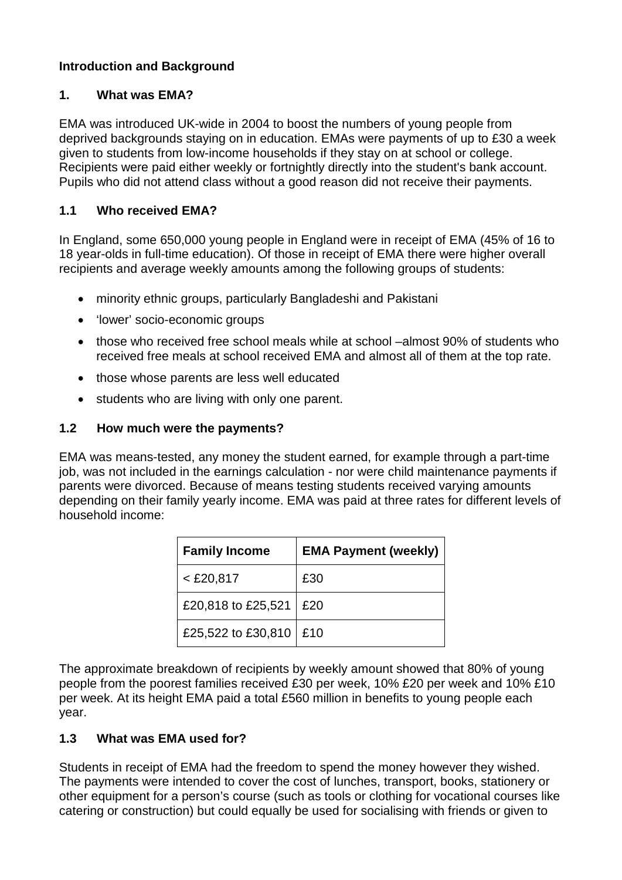## **Introduction and Background**

#### **1. What was EMA?**

EMA was introduced UK-wide in 2004 to boost the numbers of young people from deprived backgrounds staying on in education. EMAs were payments of up to £30 a week given to students from low-income households if they stay on at school or college. Recipients were paid either weekly or fortnightly directly into the student's bank account. Pupils who did not attend class without a good reason did not receive their payments.

#### **1.1 Who received EMA?**

In England, some 650,000 young people in England were in receipt of EMA (45% of 16 to 18 year-olds in full-time education). Of those in receipt of EMA there were higher overall recipients and average weekly amounts among the following groups of students:

- minority ethnic groups, particularly Bangladeshi and Pakistani
- 'lower' socio-economic groups
- those who received free school meals while at school –almost 90% of students who received free meals at school received EMA and almost all of them at the top rate.
- those whose parents are less well educated
- students who are living with only one parent.

#### **1.2 How much were the payments?**

EMA was means-tested, any money the student earned, for example through a part-time job, was not included in the earnings calculation - nor were child maintenance payments if parents were divorced. Because of means testing students received varying amounts depending on their family yearly income. EMA was paid at three rates for different levels of household income:

| <b>Family Income</b> | <b>EMA Payment (weekly)</b> |
|----------------------|-----------------------------|
| $<$ £20,817          | £30                         |
| £20,818 to £25,521   | £20                         |
| £25,522 to £30,810   | £10                         |

The approximate breakdown of recipients by weekly amount showed that 80% of young people from the poorest families received £30 per week, 10% £20 per week and 10% £10 per week. At its height EMA paid a total £560 million in benefits to young people each year.

#### **1.3 What was EMA used for?**

Students in receipt of EMA had the freedom to spend the money however they wished. The payments were intended to cover the cost of lunches, transport, books, stationery or other equipment for a person's course (such as tools or clothing for vocational courses like catering or construction) but could equally be used for socialising with friends or given to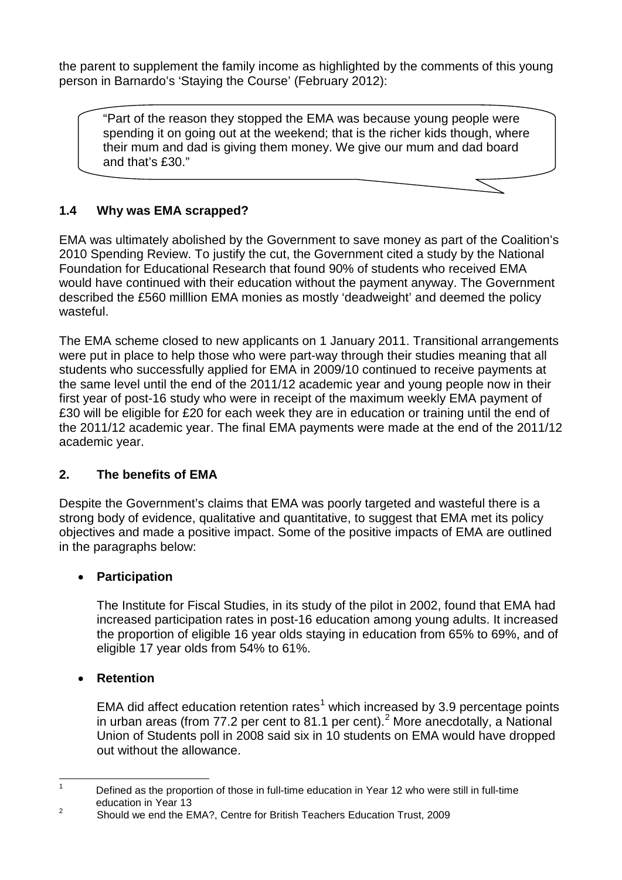the parent to supplement the family income as highlighted by the comments of this young person in Barnardo's 'Staying the Course' (February 2012):

"Part of the reason they stopped the EMA was because young people were spending it on going out at the weekend; that is the richer kids though, where their mum and dad is giving them money. We give our mum and dad board and that's £30."

## **1.4 Why was EMA scrapped?**

EMA was ultimately abolished by the Government to save money as part of the Coalition's 2010 Spending Review. To justify the cut, the Government cited a study by the National Foundation for Educational Research that found 90% of students who received EMA would have continued with their education without the payment anyway. The Government described the £560 milllion EMA monies as mostly 'deadweight' and deemed the policy wasteful.

The EMA scheme closed to new applicants on 1 January 2011. Transitional arrangements were put in place to help those who were part-way through their studies meaning that all students who successfully applied for EMA in 2009/10 continued to receive payments at the same level until the end of the 2011/12 academic year and young people now in their first year of post-16 study who were in receipt of the maximum weekly EMA payment of £30 will be eligible for £20 for each week they are in education or training until the end of the 2011/12 academic year. The final EMA payments were made at the end of the 2011/12 academic year.

#### **2. The benefits of EMA**

Despite the Government's claims that EMA was poorly targeted and wasteful there is a strong body of evidence, qualitative and quantitative, to suggest that EMA met its policy objectives and made a positive impact. Some of the positive impacts of EMA are outlined in the paragraphs below:

#### • **Participation**

The Institute for Fiscal Studies, in its study of the pilot in 2002, found that EMA had increased participation rates in post-16 education among young adults. It increased the proportion of eligible 16 year olds staying in education from 65% to 69%, and of eligible 17 year olds from 54% to 61%.

#### • **Retention**

EMA did affect education retention rates<sup>[1](#page-4-0)</sup> which increased by 3.9 percentage points in urban areas (from 77.[2](#page-4-1) per cent to 81.1 per cent).<sup>2</sup> More anecdotally, a National Union of Students poll in 2008 said six in 10 students on EMA would have dropped out without the allowance.

<span id="page-4-0"></span>Defined as the proportion of those in full-time education in Year 12 who were still in full-time education in Year 13  $\overline{1}$ 

<span id="page-4-1"></span><sup>&</sup>lt;sup>2</sup> Should we end the EMA?, Centre for British Teachers Education Trust, 2009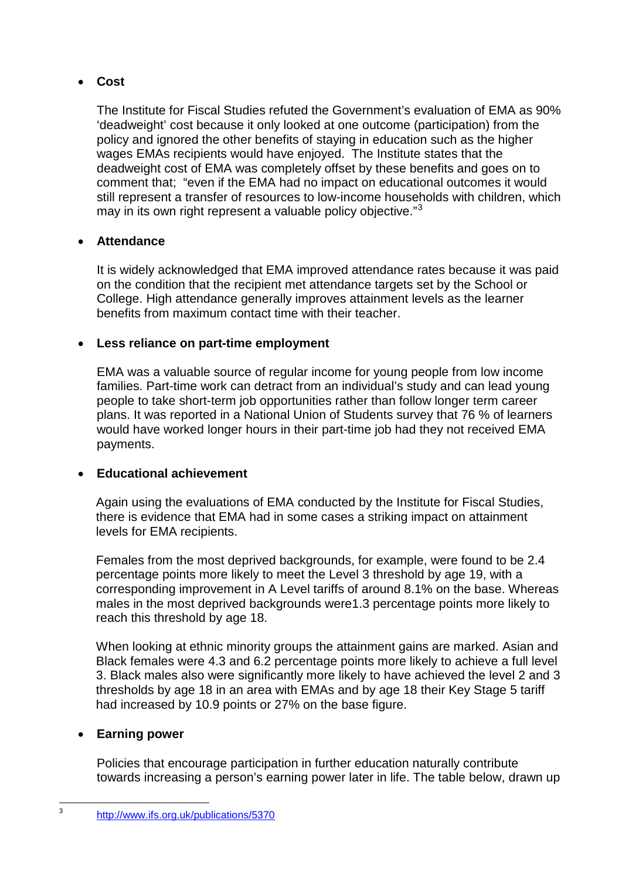## • **Cost**

The Institute for Fiscal Studies refuted the Government's evaluation of EMA as 90% 'deadweight' cost because it only looked at one outcome (participation) from the policy and ignored the other benefits of staying in education such as the higher wages EMAs recipients would have enjoyed. The Institute states that the deadweight cost of EMA was completely offset by these benefits and goes on to comment that; "even if the EMA had no impact on educational outcomes it would still represent a transfer of resources to low-income households with children, which may in its own right represent a valuable policy objective."<sup>[3](#page-5-0)</sup>

## • **Attendance**

It is widely acknowledged that EMA improved attendance rates because it was paid on the condition that the recipient met attendance targets set by the School or College. High attendance generally improves attainment levels as the learner benefits from maximum contact time with their teacher.

## • **Less reliance on part-time employment**

EMA was a valuable source of regular income for young people from low income families. Part-time work can detract from an individual's study and can lead young people to take short-term job opportunities rather than follow longer term career plans. It was reported in a National Union of Students survey that 76 % of learners would have worked longer hours in their part-time job had they not received EMA payments.

## • **Educational achievement**

Again using the evaluations of EMA conducted by the Institute for Fiscal Studies, there is evidence that EMA had in some cases a striking impact on attainment levels for EMA recipients.

Females from the most deprived backgrounds, for example, were found to be 2.4 percentage points more likely to meet the Level 3 threshold by age 19, with a corresponding improvement in A Level tariffs of around 8.1% on the base. Whereas males in the most deprived backgrounds were1.3 percentage points more likely to reach this threshold by age 18.

When looking at ethnic minority groups the attainment gains are marked. Asian and Black females were 4.3 and 6.2 percentage points more likely to achieve a full level 3. Black males also were significantly more likely to have achieved the level 2 and 3 thresholds by age 18 in an area with EMAs and by age 18 their Key Stage 5 tariff had increased by 10.9 points or 27% on the base figure.

#### • **Earning power**

<span id="page-5-0"></span> $\overline{3}$ 

Policies that encourage participation in further education naturally contribute towards increasing a person's earning power later in life. The table below, drawn up

<sup>3</sup> <http://www.ifs.org.uk/publications/5370>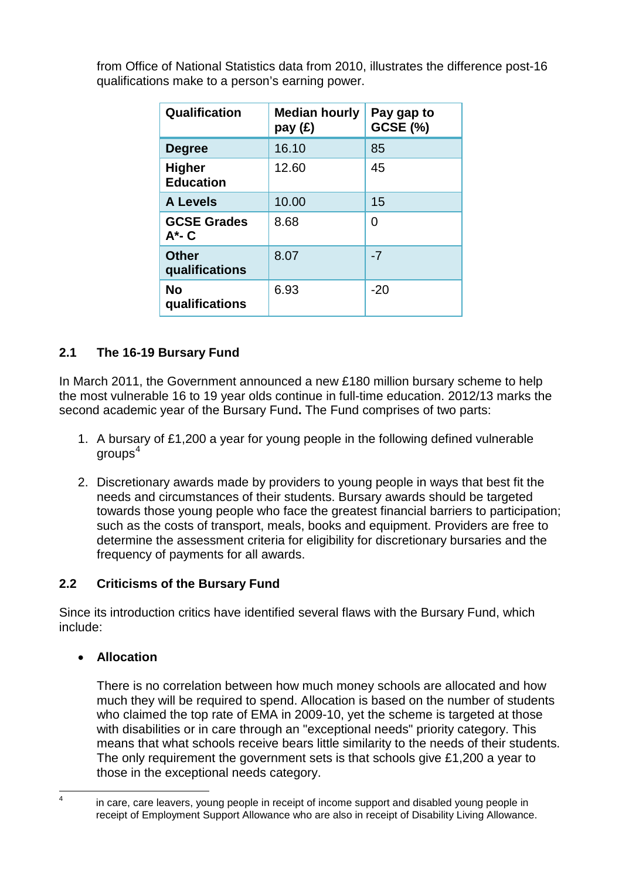| from Office of National Statistics data from 2010, illustrates the difference post-16 |
|---------------------------------------------------------------------------------------|
| qualifications make to a person's earning power.                                      |
|                                                                                       |

| Qualification                     | <b>Median hourly</b><br>pay (£) | Pay gap to<br><b>GCSE (%)</b> |
|-----------------------------------|---------------------------------|-------------------------------|
| <b>Degree</b>                     | 16.10                           | 85                            |
| <b>Higher</b><br><b>Education</b> | 12.60                           | 45                            |
| <b>A Levels</b>                   | 10.00                           | 15                            |
| <b>GCSE Grades</b><br>$A^*$ - C   | 8.68                            | 0                             |
| <b>Other</b><br>qualifications    | 8.07                            | $-7$                          |
| <b>No</b><br>qualifications       | 6.93                            | $-20$                         |

# **2.1 The 16-19 Bursary Fund**

In March 2011, the Government announced a new £180 million bursary scheme to help the most vulnerable 16 to 19 year olds continue in full-time education. 2012/13 marks the second academic year of the Bursary Fund**.** The Fund comprises of two parts:

- 1. A bursary of £1,200 a year for young people in the following defined vulnerable  $\alpha$ roups $^4$  $^4$
- 2. Discretionary awards made by providers to young people in ways that best fit the needs and circumstances of their students. Bursary awards should be targeted towards those young people who face the greatest financial barriers to participation; such as the costs of transport, meals, books and equipment. Providers are free to determine the assessment criteria for eligibility for discretionary bursaries and the frequency of payments for all awards.

## **2.2 Criticisms of the Bursary Fund**

Since its introduction critics have identified several flaws with the Bursary Fund, which include:

#### • **Allocation**

There is no correlation between how much money schools are allocated and how much they will be required to spend. Allocation is based on the number of students who claimed the top rate of EMA in 2009-10, yet the scheme is targeted at those with disabilities or in care through an "exceptional needs" priority category. This means that what schools receive bears little similarity to the needs of their students. The only requirement the government sets is that schools give £1,200 a year to those in the exceptional needs category.

<span id="page-6-0"></span> $\overline{4}$ 

in care, care leavers, young people in receipt of income support and disabled young people in receipt of Employment Support Allowance who are also in receipt of Disability Living Allowance.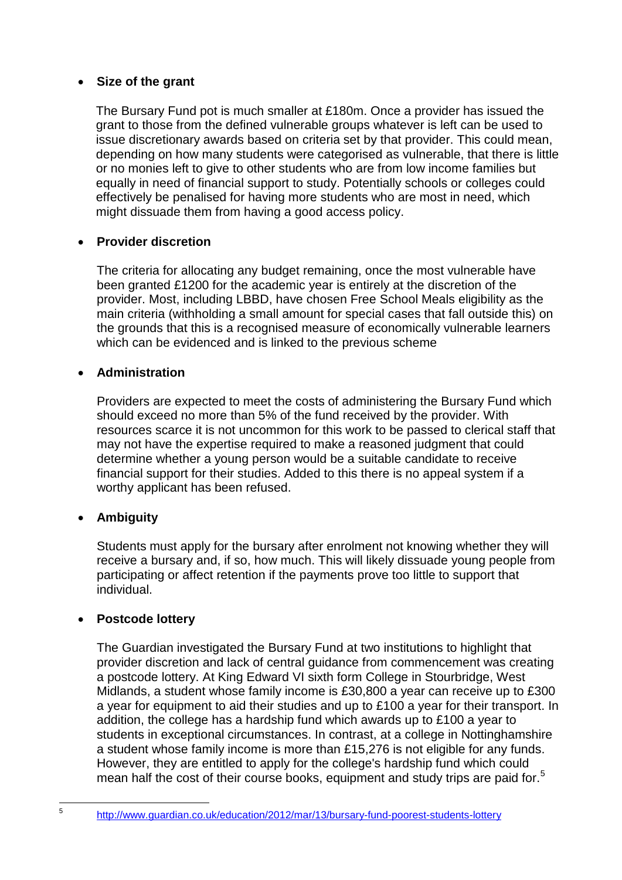#### • **Size of the grant**

The Bursary Fund pot is much smaller at £180m. Once a provider has issued the grant to those from the defined vulnerable groups whatever is left can be used to issue discretionary awards based on criteria set by that provider. This could mean, depending on how many students were categorised as vulnerable, that there is little or no monies left to give to other students who are from low income families but equally in need of financial support to study. Potentially schools or colleges could effectively be penalised for having more students who are most in need, which might dissuade them from having a good access policy.

#### • **Provider discretion**

The criteria for allocating any budget remaining, once the most vulnerable have been granted £1200 for the academic year is entirely at the discretion of the provider. Most, including LBBD, have chosen Free School Meals eligibility as the main criteria (withholding a small amount for special cases that fall outside this) on the grounds that this is a recognised measure of economically vulnerable learners which can be evidenced and is linked to the previous scheme

#### • **Administration**

Providers are expected to meet the costs of administering the Bursary Fund which should exceed no more than 5% of the fund received by the provider. With resources scarce it is not uncommon for this work to be passed to clerical staff that may not have the expertise required to make a reasoned judgment that could determine whether a young person would be a suitable candidate to receive financial support for their studies. Added to this there is no appeal system if a worthy applicant has been refused.

## • **Ambiguity**

Students must apply for the bursary after enrolment not knowing whether they will receive a bursary and, if so, how much. This will likely dissuade young people from participating or affect retention if the payments prove too little to support that individual.

#### • **Postcode lottery**

The Guardian investigated the Bursary Fund at two institutions to highlight that provider discretion and lack of central guidance from commencement was creating a postcode lottery. At King Edward VI sixth form College in Stourbridge, West Midlands, a student whose family income is £30,800 a year can receive up to £300 a year for equipment to aid their studies and up to £100 a year for their transport. In addition, the college has a hardship fund which awards up to £100 a year to students in exceptional circumstances. In contrast, at a college in Nottinghamshire a student whose family income is more than £15,276 is not eligible for any funds. However, they are entitled to apply for the college's hardship fund which could mean half the cost of their course books, equipment and study trips are paid for.<sup>[5](#page-7-0)</sup>

<span id="page-7-0"></span><sup>5</sup> <http://www.guardian.co.uk/education/2012/mar/13/bursary-fund-poorest-students-lottery>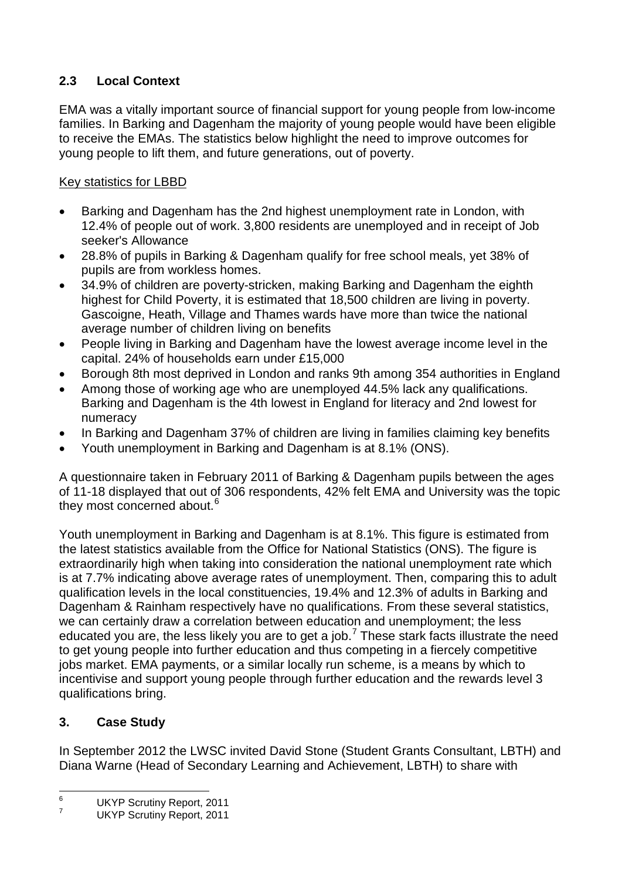# **2.3 Local Context**

EMA was a vitally important source of financial support for young people from low-income families. In Barking and Dagenham the majority of young people would have been eligible to receive the EMAs. The statistics below highlight the need to improve outcomes for young people to lift them, and future generations, out of poverty.

# Key statistics for LBBD

- Barking and Dagenham has the 2nd highest unemployment rate in London, with 12.4% of people out of work. 3,800 residents are unemployed and in receipt of Job seeker's Allowance
- 28.8% of pupils in Barking & Dagenham qualify for free school meals, yet 38% of pupils are from workless homes.
- 34.9% of children are poverty-stricken, making Barking and Dagenham the eighth highest for Child Poverty, it is estimated that 18,500 children are living in poverty. Gascoigne, Heath, Village and Thames wards have more than twice the national average number of children living on benefits
- People living in Barking and Dagenham have the lowest average income level in the capital. 24% of households earn under £15,000
- Borough 8th most deprived in London and ranks 9th among 354 authorities in England
- Among those of working age who are unemployed 44.5% lack any qualifications. Barking and Dagenham is the 4th lowest in England for literacy and 2nd lowest for numeracy
- In Barking and Dagenham 37% of children are living in families claiming key benefits
- Youth unemployment in Barking and Dagenham is at 8.1% (ONS).

A questionnaire taken in February 2011 of Barking & Dagenham pupils between the ages of 11-18 displayed that out of 306 respondents, 42% felt EMA and University was the topic they most concerned about.<sup>[6](#page-8-0)</sup>

Youth unemployment in Barking and Dagenham is at 8.1%. This figure is estimated from the latest statistics available from the Office for National Statistics (ONS). The figure is extraordinarily high when taking into consideration the national unemployment rate which is at 7.7% indicating above average rates of unemployment. Then, comparing this to adult qualification levels in the local constituencies, 19.4% and 12.3% of adults in Barking and Dagenham & Rainham respectively have no qualifications. From these several statistics, we can certainly draw a correlation between education and unemployment; the less educated you are, the less likely you are to get a job.<sup>[7](#page-8-1)</sup> These stark facts illustrate the need to get young people into further education and thus competing in a fiercely competitive jobs market. EMA payments, or a similar locally run scheme, is a means by which to incentivise and support young people through further education and the rewards level 3 qualifications bring.

# **3. Case Study**

In September 2012 the LWSC invited David Stone (Student Grants Consultant, LBTH) and Diana Warne (Head of Secondary Learning and Achievement, LBTH) to share with

<span id="page-8-0"></span> $\frac{6}{7}$  UKYP Scrutiny Report, 2011<br>UKYP Scrutiny Report, 2011  $6\overline{6}$ 

<span id="page-8-1"></span>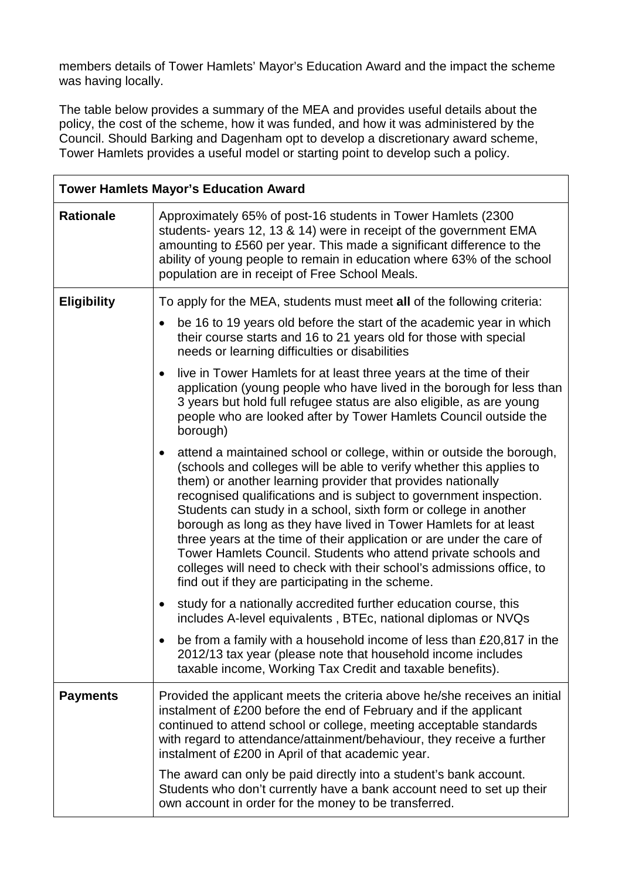members details of Tower Hamlets' Mayor's Education Award and the impact the scheme was having locally.

The table below provides a summary of the MEA and provides useful details about the policy, the cost of the scheme, how it was funded, and how it was administered by the Council. Should Barking and Dagenham opt to develop a discretionary award scheme, Tower Hamlets provides a useful model or starting point to develop such a policy.

| <b>Tower Hamlets Mayor's Education Award</b> |                                                                                                                                                                                                                                                                                                                                                                                                                                                                                                                                                                                                                                                                                                          |  |
|----------------------------------------------|----------------------------------------------------------------------------------------------------------------------------------------------------------------------------------------------------------------------------------------------------------------------------------------------------------------------------------------------------------------------------------------------------------------------------------------------------------------------------------------------------------------------------------------------------------------------------------------------------------------------------------------------------------------------------------------------------------|--|
| <b>Rationale</b>                             | Approximately 65% of post-16 students in Tower Hamlets (2300)<br>students-years 12, 13 & 14) were in receipt of the government EMA<br>amounting to £560 per year. This made a significant difference to the<br>ability of young people to remain in education where 63% of the school<br>population are in receipt of Free School Meals.                                                                                                                                                                                                                                                                                                                                                                 |  |
| <b>Eligibility</b>                           | To apply for the MEA, students must meet all of the following criteria:                                                                                                                                                                                                                                                                                                                                                                                                                                                                                                                                                                                                                                  |  |
|                                              | be 16 to 19 years old before the start of the academic year in which<br>$\bullet$<br>their course starts and 16 to 21 years old for those with special<br>needs or learning difficulties or disabilities                                                                                                                                                                                                                                                                                                                                                                                                                                                                                                 |  |
|                                              | live in Tower Hamlets for at least three years at the time of their<br>٠<br>application (young people who have lived in the borough for less than<br>3 years but hold full refugee status are also eligible, as are young<br>people who are looked after by Tower Hamlets Council outside the<br>borough)                                                                                                                                                                                                                                                                                                                                                                                                |  |
|                                              | attend a maintained school or college, within or outside the borough,<br>٠<br>(schools and colleges will be able to verify whether this applies to<br>them) or another learning provider that provides nationally<br>recognised qualifications and is subject to government inspection.<br>Students can study in a school, sixth form or college in another<br>borough as long as they have lived in Tower Hamlets for at least<br>three years at the time of their application or are under the care of<br>Tower Hamlets Council. Students who attend private schools and<br>colleges will need to check with their school's admissions office, to<br>find out if they are participating in the scheme. |  |
|                                              | study for a nationally accredited further education course, this<br>$\bullet$<br>includes A-level equivalents, BTEc, national diplomas or NVQs                                                                                                                                                                                                                                                                                                                                                                                                                                                                                                                                                           |  |
|                                              | be from a family with a household income of less than £20,817 in the<br>2012/13 tax year (please note that household income includes<br>taxable income, Working Tax Credit and taxable benefits).                                                                                                                                                                                                                                                                                                                                                                                                                                                                                                        |  |
| <b>Payments</b>                              | Provided the applicant meets the criteria above he/she receives an initial<br>instalment of £200 before the end of February and if the applicant<br>continued to attend school or college, meeting acceptable standards<br>with regard to attendance/attainment/behaviour, they receive a further<br>instalment of £200 in April of that academic year.                                                                                                                                                                                                                                                                                                                                                  |  |
|                                              | The award can only be paid directly into a student's bank account.<br>Students who don't currently have a bank account need to set up their<br>own account in order for the money to be transferred.                                                                                                                                                                                                                                                                                                                                                                                                                                                                                                     |  |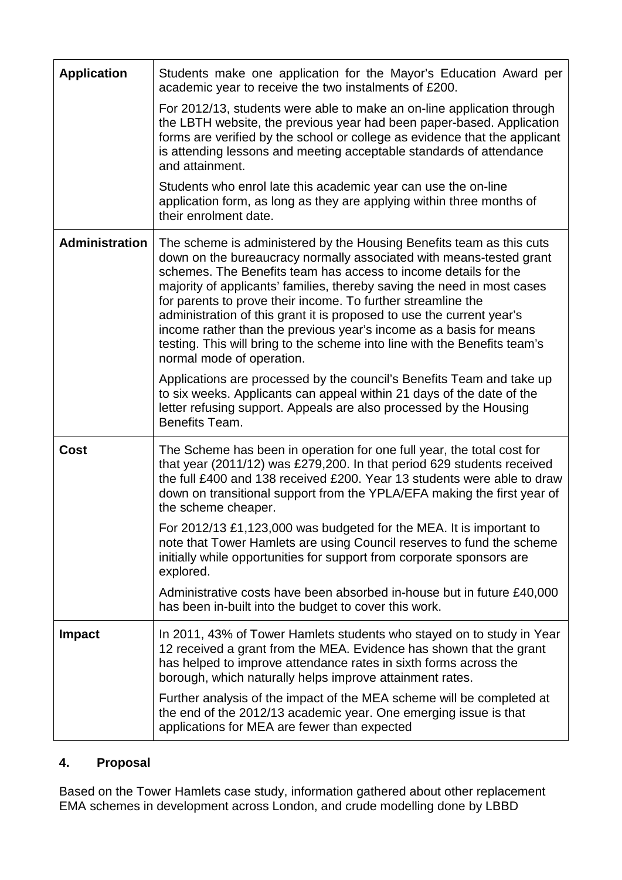| <b>Application</b>    | Students make one application for the Mayor's Education Award per<br>academic year to receive the two instalments of £200.                                                                                                                                                                                                                                                                                                                                                                                                                                                                                         |
|-----------------------|--------------------------------------------------------------------------------------------------------------------------------------------------------------------------------------------------------------------------------------------------------------------------------------------------------------------------------------------------------------------------------------------------------------------------------------------------------------------------------------------------------------------------------------------------------------------------------------------------------------------|
|                       | For 2012/13, students were able to make an on-line application through<br>the LBTH website, the previous year had been paper-based. Application<br>forms are verified by the school or college as evidence that the applicant<br>is attending lessons and meeting acceptable standards of attendance<br>and attainment.                                                                                                                                                                                                                                                                                            |
|                       | Students who enrol late this academic year can use the on-line<br>application form, as long as they are applying within three months of<br>their enrolment date.                                                                                                                                                                                                                                                                                                                                                                                                                                                   |
| <b>Administration</b> | The scheme is administered by the Housing Benefits team as this cuts<br>down on the bureaucracy normally associated with means-tested grant<br>schemes. The Benefits team has access to income details for the<br>majority of applicants' families, thereby saving the need in most cases<br>for parents to prove their income. To further streamline the<br>administration of this grant it is proposed to use the current year's<br>income rather than the previous year's income as a basis for means<br>testing. This will bring to the scheme into line with the Benefits team's<br>normal mode of operation. |
|                       | Applications are processed by the council's Benefits Team and take up<br>to six weeks. Applicants can appeal within 21 days of the date of the<br>letter refusing support. Appeals are also processed by the Housing<br>Benefits Team.                                                                                                                                                                                                                                                                                                                                                                             |
| <b>Cost</b>           | The Scheme has been in operation for one full year, the total cost for<br>that year (2011/12) was £279,200. In that period 629 students received<br>the full £400 and 138 received £200. Year 13 students were able to draw<br>down on transitional support from the YPLA/EFA making the first year of<br>the scheme cheaper.                                                                                                                                                                                                                                                                                      |
|                       | For 2012/13 £1,123,000 was budgeted for the MEA. It is important to<br>note that Tower Hamlets are using Council reserves to fund the scheme<br>initially while opportunities for support from corporate sponsors are<br>explored.                                                                                                                                                                                                                                                                                                                                                                                 |
|                       | Administrative costs have been absorbed in-house but in future £40,000<br>has been in-built into the budget to cover this work.                                                                                                                                                                                                                                                                                                                                                                                                                                                                                    |
| <b>Impact</b>         | In 2011, 43% of Tower Hamlets students who stayed on to study in Year<br>12 received a grant from the MEA. Evidence has shown that the grant<br>has helped to improve attendance rates in sixth forms across the<br>borough, which naturally helps improve attainment rates.                                                                                                                                                                                                                                                                                                                                       |
|                       | Further analysis of the impact of the MEA scheme will be completed at<br>the end of the 2012/13 academic year. One emerging issue is that<br>applications for MEA are fewer than expected                                                                                                                                                                                                                                                                                                                                                                                                                          |

# **4. Proposal**

Based on the Tower Hamlets case study, information gathered about other replacement EMA schemes in development across London, and crude modelling done by LBBD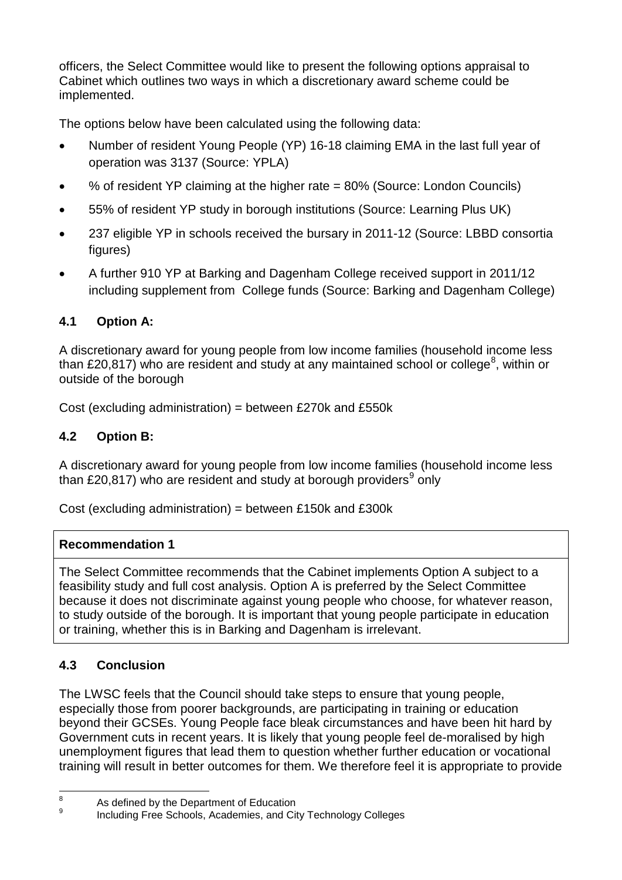officers, the Select Committee would like to present the following options appraisal to Cabinet which outlines two ways in which a discretionary award scheme could be implemented.

The options below have been calculated using the following data:

- Number of resident Young People (YP) 16-18 claiming EMA in the last full year of operation was 3137 (Source: YPLA)
- % of resident YP claiming at the higher rate = 80% (Source: London Councils)
- 55% of resident YP study in borough institutions (Source: Learning Plus UK)
- 237 eligible YP in schools received the bursary in 2011-12 (Source: LBBD consortia figures)
- A further 910 YP at Barking and Dagenham College received support in 2011/12 including supplement from College funds (Source: Barking and Dagenham College)

# **4.1 Option A:**

A discretionary award for young people from low income families (household income less than £20,[8](#page-11-0)17) who are resident and study at any maintained school or college<sup>8</sup>, within or outside of the borough

Cost (excluding administration) = between £270k and £550k

# **4.2 Option B:**

A discretionary award for young people from low income families (household income less than £20,817) who are resident and study at borough providers<sup>[9](#page-11-1)</sup> only

Cost (excluding administration) = between £150k and £300k

# **Recommendation 1**

The Select Committee recommends that the Cabinet implements Option A subject to a feasibility study and full cost analysis. Option A is preferred by the Select Committee because it does not discriminate against young people who choose, for whatever reason, to study outside of the borough. It is important that young people participate in education or training, whether this is in Barking and Dagenham is irrelevant.

# **4.3 Conclusion**

The LWSC feels that the Council should take steps to ensure that young people, especially those from poorer backgrounds, are participating in training or education beyond their GCSEs. Young People face bleak circumstances and have been hit hard by Government cuts in recent years. It is likely that young people feel de-moralised by high unemployment figures that lead them to question whether further education or vocational training will result in better outcomes for them. We therefore feel it is appropriate to provide

<span id="page-11-0"></span> $\frac{8}{9}$  As defined by the Department of Education  $\overline{8}$ 

<span id="page-11-1"></span>Including Free Schools, Academies, and City Technology Colleges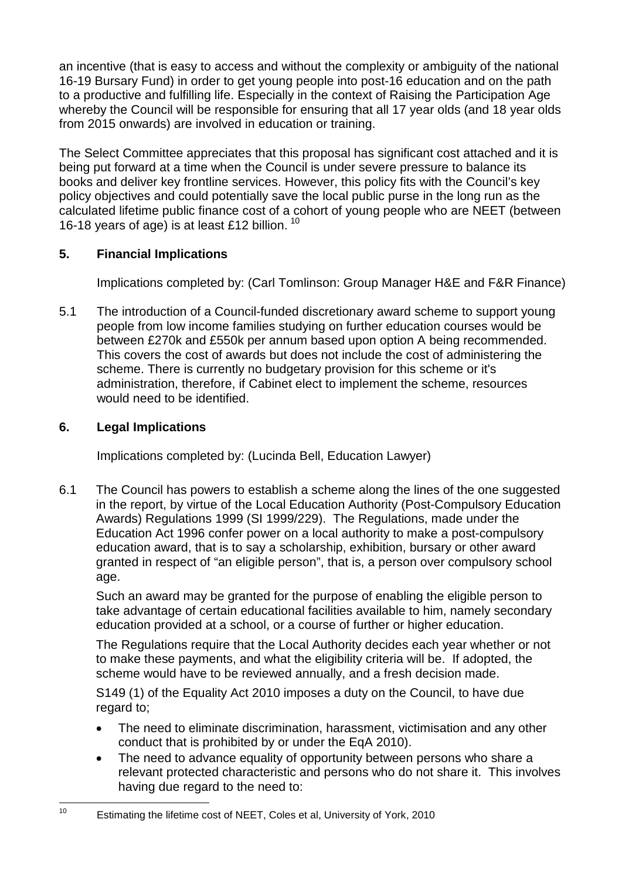an incentive (that is easy to access and without the complexity or ambiguity of the national 16-19 Bursary Fund) in order to get young people into post-16 education and on the path to a productive and fulfilling life. Especially in the context of Raising the Participation Age whereby the Council will be responsible for ensuring that all 17 year olds (and 18 year olds from 2015 onwards) are involved in education or training.

The Select Committee appreciates that this proposal has significant cost attached and it is being put forward at a time when the Council is under severe pressure to balance its books and deliver key frontline services. However, this policy fits with the Council's key policy objectives and could potentially save the local public purse in the long run as the calculated lifetime public finance cost of a cohort of young people who are NEET (between 16-18 years of age) is at least £12 billion. <sup>[10](#page-12-0)</sup>

## **5. Financial Implications**

Implications completed by: (Carl Tomlinson: Group Manager H&E and F&R Finance)

5.1 The introduction of a Council-funded discretionary award scheme to support young people from low income families studying on further education courses would be between £270k and £550k per annum based upon option A being recommended. This covers the cost of awards but does not include the cost of administering the scheme. There is currently no budgetary provision for this scheme or it's administration, therefore, if Cabinet elect to implement the scheme, resources would need to be identified.

# **6. Legal Implications**

Implications completed by: (Lucinda Bell, Education Lawyer)

6.1 The Council has powers to establish a scheme along the lines of the one suggested in the report, by virtue of the Local Education Authority (Post-Compulsory Education Awards) Regulations 1999 (SI 1999/229). The Regulations, made under the Education Act 1996 confer power on a local authority to make a post-compulsory education award, that is to say a scholarship, exhibition, bursary or other award granted in respect of "an eligible person", that is, a person over compulsory school age.

Such an award may be granted for the purpose of enabling the eligible person to take advantage of certain educational facilities available to him, namely secondary education provided at a school, or a course of further or higher education.

The Regulations require that the Local Authority decides each year whether or not to make these payments, and what the eligibility criteria will be. If adopted, the scheme would have to be reviewed annually, and a fresh decision made.

S149 (1) of the Equality Act 2010 imposes a duty on the Council, to have due regard to;

- The need to eliminate discrimination, harassment, victimisation and any other conduct that is prohibited by or under the EqA 2010).
- The need to advance equality of opportunity between persons who share a relevant protected characteristic and persons who do not share it. This involves having due regard to the need to:

<span id="page-12-0"></span>Estimating the lifetime cost of NEET, Coles et al, University of York, 2010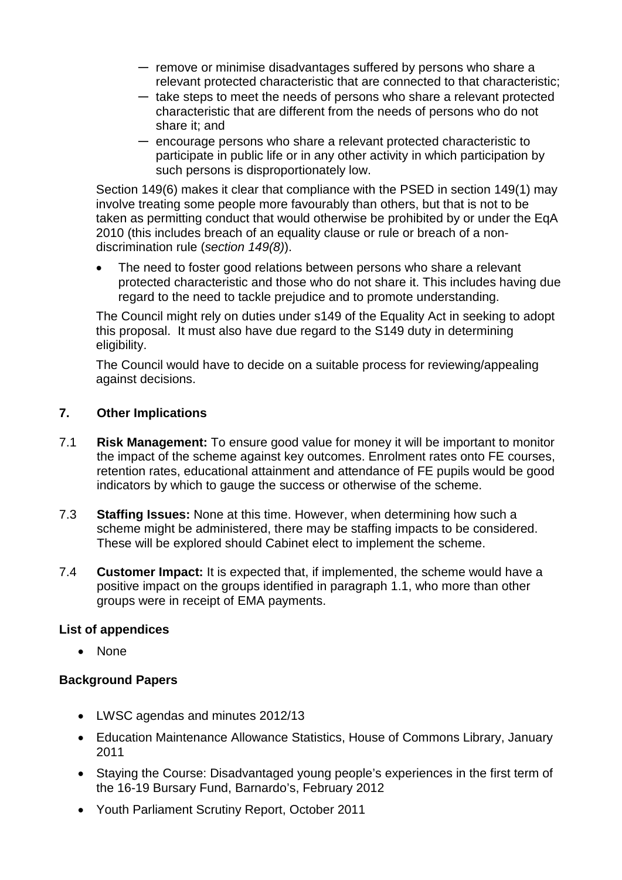- ― remove or minimise disadvantages suffered by persons who share a relevant protected characteristic that are connected to that characteristic;
- ― take steps to meet the needs of persons who share a relevant protected characteristic that are different from the needs of persons who do not share it; and
- ― encourage persons who share a relevant protected characteristic to participate in public life or in any other activity in which participation by such persons is disproportionately low.

Section 149(6) makes it clear that compliance with the PSED in section 149(1) may involve treating some people more favourably than others, but that is not to be taken as permitting conduct that would otherwise be prohibited by or under the EqA 2010 (this includes breach of an equality clause or rule or breach of a nondiscrimination rule (*section 149(8)*).

The need to foster good relations between persons who share a relevant protected characteristic and those who do not share it. This includes having due regard to the need to tackle prejudice and to promote understanding.

The Council might rely on duties under s149 of the Equality Act in seeking to adopt this proposal. It must also have due regard to the S149 duty in determining eligibility.

The Council would have to decide on a suitable process for reviewing/appealing against decisions.

#### **7. Other Implications**

- 7.1 **Risk Management:** To ensure good value for money it will be important to monitor the impact of the scheme against key outcomes. Enrolment rates onto FE courses, retention rates, educational attainment and attendance of FE pupils would be good indicators by which to gauge the success or otherwise of the scheme.
- 7.3 **Staffing Issues:** None at this time. However, when determining how such a scheme might be administered, there may be staffing impacts to be considered. These will be explored should Cabinet elect to implement the scheme.
- 7.4 **Customer Impact:** It is expected that, if implemented, the scheme would have a positive impact on the groups identified in paragraph 1.1, who more than other groups were in receipt of EMA payments.

#### **List of appendices**

• None

#### **Background Papers**

- LWSC agendas and minutes 2012/13
- Education Maintenance Allowance Statistics, House of Commons Library, January 2011
- Staying the Course: Disadvantaged young people's experiences in the first term of the 16-19 Bursary Fund, Barnardo's, February 2012
- Youth Parliament Scrutiny Report, October 2011